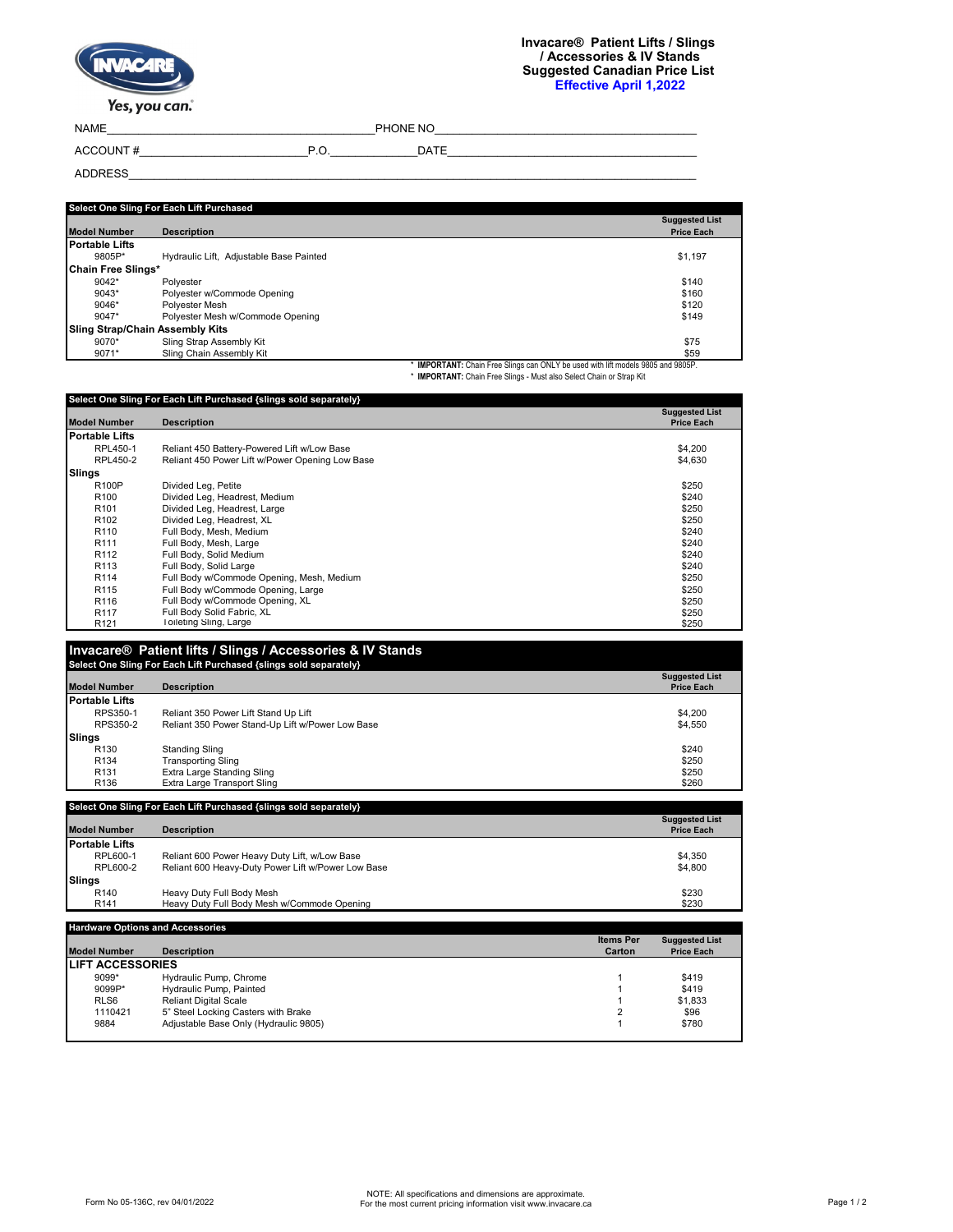| $\mathcal{N}$ |
|---------------|
| Yes vou can   |

Yes, you can.

NAME\_\_\_\_\_\_\_\_\_\_\_\_\_\_\_\_\_\_\_\_\_\_\_\_\_\_\_\_\_\_\_\_\_\_\_\_\_\_\_\_\_\_\_PHONE NO\_\_\_\_\_\_\_\_\_\_\_\_\_\_\_\_\_\_\_\_\_\_\_\_\_\_\_\_\_\_\_\_\_\_\_\_\_\_\_\_\_\_ ACCOUNT # The contract of the contract of the contract of the contract of the contract of the contract of the contract of the contract of the contract of the contract of the contract of the contract of the contract of the

ADDRESS\_\_\_\_\_\_\_\_\_\_\_\_\_\_\_\_\_\_\_\_\_\_\_\_\_\_\_\_\_\_\_\_\_\_\_\_\_\_\_\_\_\_\_\_\_\_\_\_\_\_\_\_\_\_\_\_\_\_\_\_\_\_\_\_\_\_\_\_\_\_\_\_\_\_\_\_\_\_\_\_\_\_\_\_\_\_\_\_\_\_\_

| Select One Sling For Each Lift Purchased |                                         |                                                                                  |  |  |
|------------------------------------------|-----------------------------------------|----------------------------------------------------------------------------------|--|--|
| <b>Model Number</b>                      | <b>Description</b>                      | <b>Suggested List</b><br><b>Price Each</b>                                       |  |  |
| <b>Portable Lifts</b>                    |                                         |                                                                                  |  |  |
| 9805P*                                   | Hydraulic Lift, Adjustable Base Painted | \$1,197                                                                          |  |  |
| Chain Free Slings*                       |                                         |                                                                                  |  |  |
| $9042*$                                  | Polvester                               | \$140                                                                            |  |  |
| $9043*$                                  | Polvester w/Commode Opening             | \$160                                                                            |  |  |
| $9046*$                                  | Polvester Mesh                          | \$120                                                                            |  |  |
| $9047*$                                  | Polvester Mesh w/Commode Opening        | \$149                                                                            |  |  |
|                                          | <b>Sling Strap/Chain Assembly Kits</b>  |                                                                                  |  |  |
| $9070*$                                  | Sling Strap Assembly Kit                | \$75                                                                             |  |  |
| 9071*                                    | Sling Chain Assembly Kit                | \$59                                                                             |  |  |
|                                          |                                         | * IMPORTANT: Chain Free Slings can ONLY be used with lift models 9805 and 9805P. |  |  |

\* **IMPORTANT:** Chain Free Slings can ONLY be used with lift models 9805 and 9805P. \* **IMPORTANT:** Chain Free Slings - Must also Select Chain or Strap Kit

| <b>Model Number</b>                                                                                                                         | <b>Description</b>                                                                                  | <b>Suggested List</b><br><b>Price Each</b> |
|---------------------------------------------------------------------------------------------------------------------------------------------|-----------------------------------------------------------------------------------------------------|--------------------------------------------|
| <b>Portable Lifts</b>                                                                                                                       |                                                                                                     |                                            |
| RPL450-1                                                                                                                                    | Reliant 450 Battery-Powered Lift w/Low Base                                                         | \$4,200                                    |
| RPL450-2                                                                                                                                    | Reliant 450 Power Lift w/Power Opening Low Base                                                     | \$4,630                                    |
| Slings                                                                                                                                      |                                                                                                     |                                            |
| R100P                                                                                                                                       | Divided Leg, Petite                                                                                 | \$250                                      |
| R <sub>100</sub>                                                                                                                            | Divided Leg, Headrest, Medium                                                                       | \$240                                      |
| R <sub>101</sub>                                                                                                                            | Divided Leg, Headrest, Large                                                                        | \$250                                      |
| R <sub>102</sub>                                                                                                                            | Divided Leg, Headrest, XL                                                                           | \$250                                      |
| R <sub>110</sub>                                                                                                                            | Full Body, Mesh, Medium                                                                             | \$240                                      |
| R <sub>111</sub>                                                                                                                            | Full Body, Mesh, Large                                                                              | \$240                                      |
| R <sub>112</sub>                                                                                                                            | Full Body, Solid Medium                                                                             | \$240                                      |
| R <sub>113</sub>                                                                                                                            | Full Body, Solid Large                                                                              | \$240                                      |
| R114                                                                                                                                        | Full Body w/Commode Opening, Mesh, Medium                                                           | \$250                                      |
| R115                                                                                                                                        | Full Body w/Commode Opening, Large                                                                  | \$250                                      |
| R <sub>116</sub>                                                                                                                            | Full Body w/Commode Opening, XL                                                                     | \$250                                      |
| R <sub>117</sub>                                                                                                                            | Full Body Solid Fabric, XL<br>Toileting Sling, Large                                                | \$250                                      |
| R <sub>121</sub>                                                                                                                            | Invacare® Patient lifts / Slings / Accessories & IV Stands                                          | \$250                                      |
|                                                                                                                                             | Select One Sling For Each Lift Purchased {slings sold separately}                                   |                                            |
|                                                                                                                                             | <b>Description</b>                                                                                  | <b>Price Each</b>                          |
|                                                                                                                                             |                                                                                                     |                                            |
| RPS350-1                                                                                                                                    | Reliant 350 Power Lift Stand Up Lift                                                                | <b>Suggested List</b><br>\$4,200           |
| RPS350-2                                                                                                                                    | Reliant 350 Power Stand-Up Lift w/Power Low Base                                                    | \$4,550                                    |
|                                                                                                                                             |                                                                                                     |                                            |
| R <sub>130</sub>                                                                                                                            | <b>Standing Sling</b>                                                                               | \$240                                      |
| R <sub>134</sub>                                                                                                                            | <b>Transporting Sling</b>                                                                           | \$250                                      |
| R <sub>131</sub>                                                                                                                            | Extra Large Standing Sling                                                                          | \$250                                      |
| R <sub>136</sub>                                                                                                                            | Extra Large Transport Sling                                                                         | \$260                                      |
|                                                                                                                                             | Select One Sling For Each Lift Purchased {slings sold separately}                                   | <b>Suggested List</b>                      |
|                                                                                                                                             | <b>Description</b>                                                                                  | <b>Price Each</b>                          |
|                                                                                                                                             |                                                                                                     |                                            |
| RPL600-1                                                                                                                                    |                                                                                                     | \$4.350                                    |
| RPL600-2                                                                                                                                    | Reliant 600 Power Heavy Duty Lift, w/Low Base<br>Reliant 600 Heavy-Duty Power Lift w/Power Low Base | \$4,800                                    |
|                                                                                                                                             |                                                                                                     |                                            |
| <b>Model Number</b><br><b>Portable Lifts</b><br>Slings<br><b>Model Number</b><br><b>Portable Lifts</b><br><b>Slings</b><br>R <sub>140</sub> | Heavy Duty Full Body Mesh                                                                           | \$230                                      |

|                          |                                       | <b>Items Per</b> | <b>Suggested List</b> |
|--------------------------|---------------------------------------|------------------|-----------------------|
| <b>Model Number</b>      | <b>Description</b>                    | Carton           | <b>Price Each</b>     |
| <b>ILIFT ACCESSORIES</b> |                                       |                  |                       |
| $9099*$                  | Hydraulic Pump, Chrome                |                  | \$419                 |
| 9099P*                   | Hydraulic Pump, Painted               |                  | \$419                 |
| RLS <sub>6</sub>         | <b>Reliant Digital Scale</b>          |                  | \$1,833               |
| 1110421                  | 5" Steel Locking Casters with Brake   |                  | \$96                  |
| 9884                     | Adjustable Base Only (Hydraulic 9805) |                  | \$780                 |